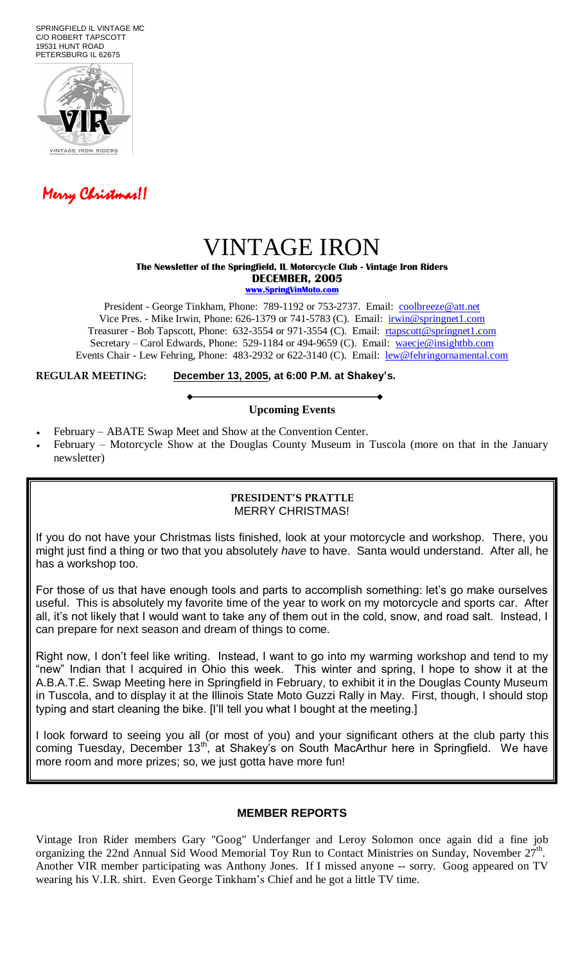SPRINGFIELD IL VINTAGE MC C/O ROBERT TAPSCOTT 19531 HUNT ROAD PETERSBURG IL 62675





# VINTAGE IRON

**The Newsletter of the Springfield, IL Motorcycle Club - Vintage Iron Riders DECEMBER, 2005**

**www.SpringVinMoto.com**

President - George Tinkham, Phone: 789-1192 or 753-2737. Email: [coolbreeze@att.net](mailto:coolbreeze@att.net) Vice Pres. - Mike Irwin, Phone: 626-1379 or 741-5783 (C). Email: irwin@springnet1.com Treasurer - Bob Tapscott, Phone: 632-3554 or 971-3554 (C). Email: [rtapscott@springnet1.com](mailto:rtapscott@springnet1.com) Secretary – Carol Edwards, Phone: 529-1184 or 494-9659 (C). Email: waecje@insightbb.com Events Chair - Lew Fehring, Phone: 483-2932 or 622-3140 (C). Email: lew@fehringornamental.com

**REGULAR MEETING: December 13, 2005, at 6:00 P.M. at Shakey's.**

### **Upcoming Events**

- February ABATE Swap Meet and Show at the Convention Center.
- February Motorcycle Show at the Douglas County Museum in Tuscola (more on that in the January newsletter)

#### **PRESIDENT'S PRATTLE** MERRY CHRISTMAS!

If you do not have your Christmas lists finished, look at your motorcycle and workshop. There, you might just find a thing or two that you absolutely *have* to have. Santa would understand. After all, he has a workshop too.

For those of us that have enough tools and parts to accomplish something: let's go make ourselves useful. This is absolutely my favorite time of the year to work on my motorcycle and sports car. After all, it's not likely that I would want to take any of them out in the cold, snow, and road salt. Instead, I can prepare for next season and dream of things to come.

Right now, I don't feel like writing. Instead, I want to go into my warming workshop and tend to my "new" Indian that I acquired in Ohio this week. This winter and spring, I hope to show it at the A.B.A.T.E. Swap Meeting here in Springfield in February, to exhibit it in the Douglas County Museum in Tuscola, and to display it at the Illinois State Moto Guzzi Rally in May. First, though, I should stop typing and start cleaning the bike. [I'll tell you what I bought at the meeting.]

I look forward to seeing you all (or most of you) and your significant others at the club party this coming Tuesday, December 13<sup>th</sup>, at Shakey's on South MacArthur here in Springfield. We have more room and more prizes; so, we just gotta have more fun!

## **MEMBER REPORTS**

Vintage Iron Rider members Gary "Goog" Underfanger and Leroy Solomon once again did a fine job organizing the 22nd Annual Sid Wood Memorial Toy Run to Contact Ministries on Sunday, November  $27^{\text{th}}$ . Another VIR member participating was Anthony Jones. If I missed anyone -- sorry. Goog appeared on TV wearing his V.I.R. shirt. Even George Tinkham's Chief and he got a little TV time.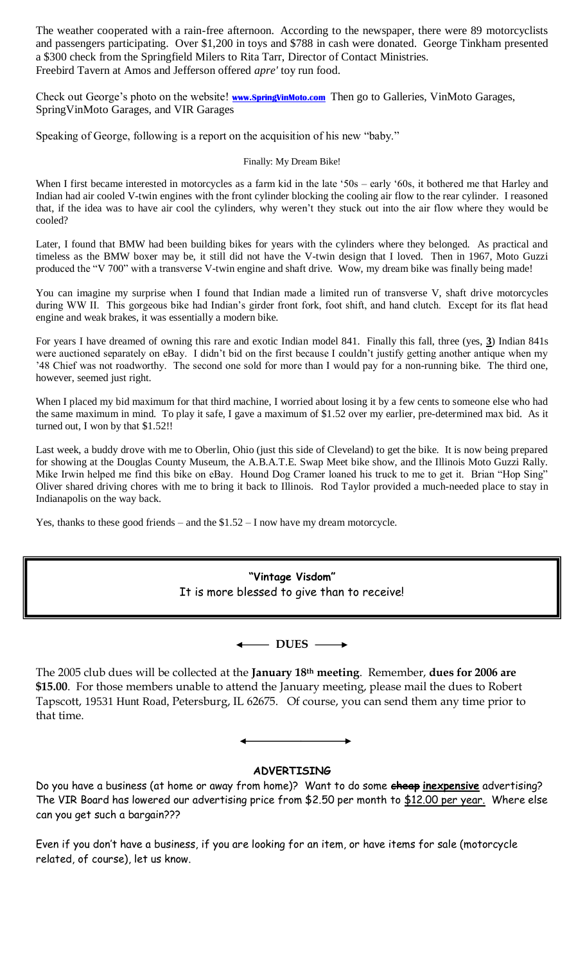The weather cooperated with a rain-free afternoon. According to the newspaper, there were 89 motorcyclists and passengers participating. Over \$1,200 in toys and \$788 in cash were donated. George Tinkham presented a \$300 check from the Springfield Milers to Rita Tarr, Director of Contact Ministries. Freebird Tavern at Amos and Jefferson offered *apre'* toy run food.

Check out George's photo on the website! **[www.SpringVinMoto.com](http://www.springvinmoto.com/)** Then go to Galleries, VinMoto Garages, SpringVinMoto Garages, and VIR Garages

Speaking of George, following is a report on the acquisition of his new "baby."

Finally: My Dream Bike!

When I first became interested in motorcycles as a farm kid in the late '50s – early '60s, it bothered me that Harley and Indian had air cooled V-twin engines with the front cylinder blocking the cooling air flow to the rear cylinder. I reasoned that, if the idea was to have air cool the cylinders, why weren't they stuck out into the air flow where they would be cooled?

Later, I found that BMW had been building bikes for years with the cylinders where they belonged. As practical and timeless as the BMW boxer may be, it still did not have the V-twin design that I loved. Then in 1967, Moto Guzzi produced the "V 700" with a transverse V-twin engine and shaft drive. Wow, my dream bike was finally being made!

You can imagine my surprise when I found that Indian made a limited run of transverse V, shaft drive motorcycles during WW II. This gorgeous bike had Indian's girder front fork, foot shift, and hand clutch. Except for its flat head engine and weak brakes, it was essentially a modern bike.

For years I have dreamed of owning this rare and exotic Indian model 841. Finally this fall, three (yes, **3**) Indian 841s were auctioned separately on eBay. I didn't bid on the first because I couldn't justify getting another antique when my '48 Chief was not roadworthy. The second one sold for more than I would pay for a non-running bike. The third one, however, seemed just right.

When I placed my bid maximum for that third machine, I worried about losing it by a few cents to someone else who had the same maximum in mind. To play it safe, I gave a maximum of \$1.52 over my earlier, pre-determined max bid. As it turned out, I won by that \$1.52!!

Last week, a buddy drove with me to Oberlin, Ohio (just this side of Cleveland) to get the bike. It is now being prepared for showing at the Douglas County Museum, the A.B.A.T.E. Swap Meet bike show, and the Illinois Moto Guzzi Rally. Mike Irwin helped me find this bike on eBay. Hound Dog Cramer loaned his truck to me to get it. Brian "Hop Sing" Oliver shared driving chores with me to bring it back to Illinois. Rod Taylor provided a much-needed place to stay in Indianapolis on the way back.

Yes, thanks to these good friends – and the \$1.52 – I now have my dream motorcycle.

**"Vintage Visdom"** It is more blessed to give than to receive!

 $\leftarrow$  DUES  $\rightarrow$ 

The 2005 club dues will be collected at the **January 18th meeting**. Remember, **dues for 2006 are \$15.00**. For those members unable to attend the January meeting, please mail the dues to Robert Tapscott, 19531 Hunt Road, Petersburg, IL 62675. Of course, you can send them any time prior to that time.



## **ADVERTISING**

Do you have a business (at home or away from home)? Want to do some **cheap inexpensive** advertising? The VIR Board has lowered our advertising price from \$2.50 per month to \$12.00 per year. Where else can you get such a bargain???

Even if you don't have a business, if you are looking for an item, or have items for sale (motorcycle related, of course), let us know.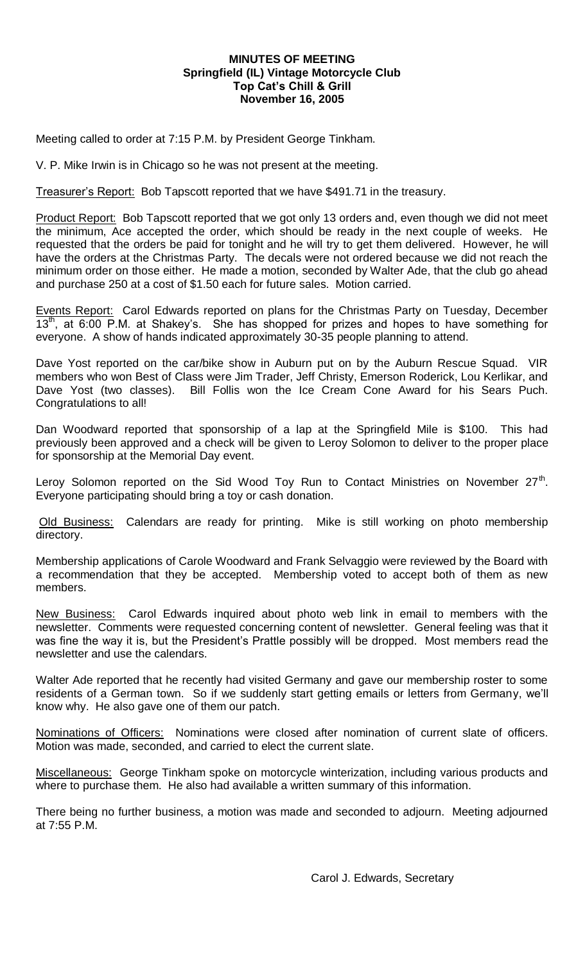#### **MINUTES OF MEETING Springfield (IL) Vintage Motorcycle Club Top Cat's Chill & Grill November 16, 2005**

Meeting called to order at 7:15 P.M. by President George Tinkham.

V. P. Mike Irwin is in Chicago so he was not present at the meeting.

Treasurer's Report: Bob Tapscott reported that we have \$491.71 in the treasury.

Product Report: Bob Tapscott reported that we got only 13 orders and, even though we did not meet the minimum, Ace accepted the order, which should be ready in the next couple of weeks. He requested that the orders be paid for tonight and he will try to get them delivered. However, he will have the orders at the Christmas Party. The decals were not ordered because we did not reach the minimum order on those either. He made a motion, seconded by Walter Ade, that the club go ahead and purchase 250 at a cost of \$1.50 each for future sales. Motion carried.

Events Report: Carol Edwards reported on plans for the Christmas Party on Tuesday, December  $13<sup>th</sup>$ , at 6:00 P.M. at Shakey's. She has shopped for prizes and hopes to have something for everyone. A show of hands indicated approximately 30-35 people planning to attend.

Dave Yost reported on the car/bike show in Auburn put on by the Auburn Rescue Squad. VIR members who won Best of Class were Jim Trader, Jeff Christy, Emerson Roderick, Lou Kerlikar, and Dave Yost (two classes). Bill Follis won the Ice Cream Cone Award for his Sears Puch. Congratulations to all!

Dan Woodward reported that sponsorship of a lap at the Springfield Mile is \$100. This had previously been approved and a check will be given to Leroy Solomon to deliver to the proper place for sponsorship at the Memorial Day event.

Leroy Solomon reported on the Sid Wood Toy Run to Contact Ministries on November  $27<sup>th</sup>$ . Everyone participating should bring a toy or cash donation.

Old Business: Calendars are ready for printing. Mike is still working on photo membership directory.

Membership applications of Carole Woodward and Frank Selvaggio were reviewed by the Board with a recommendation that they be accepted. Membership voted to accept both of them as new members.

New Business: Carol Edwards inquired about photo web link in email to members with the newsletter. Comments were requested concerning content of newsletter. General feeling was that it was fine the way it is, but the President's Prattle possibly will be dropped. Most members read the newsletter and use the calendars.

Walter Ade reported that he recently had visited Germany and gave our membership roster to some residents of a German town. So if we suddenly start getting emails or letters from Germany, we'll know why. He also gave one of them our patch.

Nominations of Officers: Nominations were closed after nomination of current slate of officers. Motion was made, seconded, and carried to elect the current slate.

Miscellaneous: George Tinkham spoke on motorcycle winterization, including various products and where to purchase them. He also had available a written summary of this information.

There being no further business, a motion was made and seconded to adjourn. Meeting adjourned at 7:55 P.M.